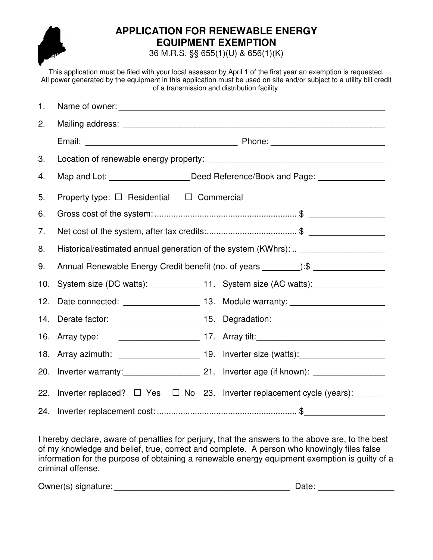

## **APPLICATION FOR RENEWABLE ENERGY EQUIPMENT EXEMPTION**

36 M.R.S. §§ 655(1)(U) & 656(1)(K)

This application must be filed with your local assessor by April 1 of the first year an exemption is requested. All power generated by the equipment in this application must be used on site and/or subject to a utility bill credit of a transmission and distribution facility.

| 1.  |                                                                                   |                                                                                  |
|-----|-----------------------------------------------------------------------------------|----------------------------------------------------------------------------------|
| 2.  |                                                                                   |                                                                                  |
|     |                                                                                   |                                                                                  |
| 3.  |                                                                                   |                                                                                  |
| 4.  |                                                                                   | Map and Lot: _____________________Deed Reference/Book and Page: ________________ |
| 5.  | Property type: $\Box$ Residential $\Box$ Commercial                               |                                                                                  |
| 6.  |                                                                                   |                                                                                  |
| 7.  |                                                                                   |                                                                                  |
| 8.  | Historical/estimated annual generation of the system (KWhrs):  _______________    |                                                                                  |
| 9.  | Annual Renewable Energy Credit benefit (no. of years _________):\$ ______________ |                                                                                  |
| 10. |                                                                                   | System size (DC watts): _____________ 11. System size (AC watts): ______________ |
|     |                                                                                   | 12. Date connected: _______________________ 13. Module warranty: _______________ |
|     |                                                                                   | 14. Derate factor: __________________________ 15. Degradation: _________________ |
|     |                                                                                   |                                                                                  |
|     |                                                                                   |                                                                                  |
|     |                                                                                   | 20. Inverter warranty: 21. Inverter age (if known): ____________________________ |
|     |                                                                                   | 22. Inverter replaced? □ Yes □ No 23. Inverter replacement cycle (years): ______ |
| 24. |                                                                                   |                                                                                  |

I hereby declare, aware of penalties for perjury, that the answers to the above are, to the best of my knowledge and belief, true, correct and complete. A person who knowingly files false information for the purpose of obtaining a renewable energy equipment exemption is guilty of a criminal offense.

Owner(s) signature: \_\_\_\_\_\_\_\_\_\_\_\_\_\_\_\_\_\_\_\_\_\_\_\_\_\_\_\_\_\_\_\_\_\_\_\_\_ Date: \_\_\_\_\_\_\_\_\_\_\_\_\_\_\_\_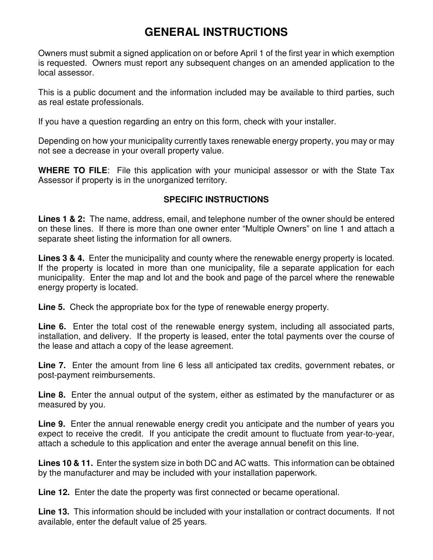## **GENERAL INSTRUCTIONS**

Owners must submit a signed application on or before April 1 of the first year in which exemption is requested. Owners must report any subsequent changes on an amended application to the local assessor.

This is a public document and the information included may be available to third parties, such as real estate professionals.

If you have a question regarding an entry on this form, check with your installer.

Depending on how your municipality currently taxes renewable energy property, you may or may not see a decrease in your overall property value.

**WHERE TO FILE**: File this application with your municipal assessor or with the State Tax Assessor if property is in the unorganized territory.

## **SPECIFIC INSTRUCTIONS**

**Lines 1 & 2:** The name, address, email, and telephone number of the owner should be entered on these lines. If there is more than one owner enter "Multiple Owners" on line 1 and attach a separate sheet listing the information for all owners.

**Lines 3 & 4.** Enter the municipality and county where the renewable energy property is located. If the property is located in more than one municipality, file a separate application for each municipality. Enter the map and lot and the book and page of the parcel where the renewable energy property is located.

**Line 5.** Check the appropriate box for the type of renewable energy property.

**Line 6.** Enter the total cost of the renewable energy system, including all associated parts, installation, and delivery. If the property is leased, enter the total payments over the course of the lease and attach a copy of the lease agreement.

**Line 7.** Enter the amount from line 6 less all anticipated tax credits, government rebates, or post-payment reimbursements.

**Line 8.** Enter the annual output of the system, either as estimated by the manufacturer or as measured by you.

**Line 9.** Enter the annual renewable energy credit you anticipate and the number of years you expect to receive the credit. If you anticipate the credit amount to fluctuate from year-to-year, attach a schedule to this application and enter the average annual benefit on this line.

**Lines 10 & 11.** Enter the system size in both DC and AC watts. This information can be obtained by the manufacturer and may be included with your installation paperwork.

**Line 12.** Enter the date the property was first connected or became operational.

**Line 13.** This information should be included with your installation or contract documents. If not available, enter the default value of 25 years.